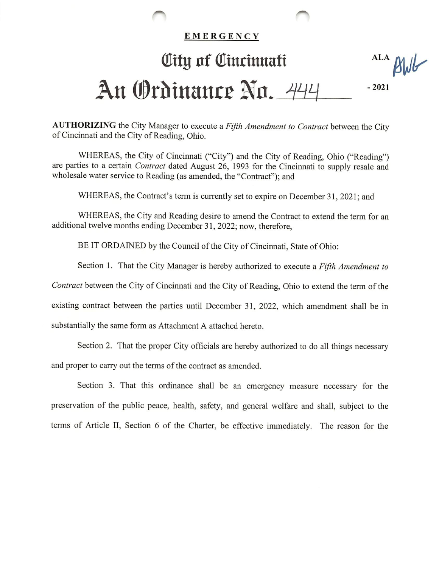## **EMERGENCY**

## Olttg of Olincinnatt **ALA** BWG An Ordinance No. 444  $-2021$

AUTHORIZING the City Manager to execute a Fifth Amendment to Contract between the City of Cincinnati and the City of Reading, Ohio.

WHEREAS, the City of Cincinnati ("City") and the City of Reading, Ohio ("Reading") are parties to a certain Contract dated August 26, 1993 for the Cincinnati to supply resale and wholesale water service to Reading (as amended, the "Contract"); and

WHEREAS, the Contract's term is currently set to expire on December 31, 2021; and

WHEREAS, the City and Reading desire to amend the Contract to extend the term for an additional twelve months ending December 31, 2022; now, therefore,

BE IT ORDAINED by the Council of the City of Cincinnati, State of Ohio:

Section 1. That the City Manager is hereby authorized to execute a Fifth Amendment to

Contract between the City of Cincinnati and the City of Reading, Ohio to extend the term of the

existing contract between the parties until December 31, 2022, which amendment shall be in

substantially the same form as Attachment A attached hereto.

Section 2. That the proper City officials are hereby authorized to do all things necessary and proper to carry out the terms of the contract as amended.

Section 3. That this ordinance shall be an emergency measure necessary for the preservation of the public peace, health, safety, and general welfare and shall, subject to the terms of Article II, Section 6 of the Charter, be effective immediately. The reason for the